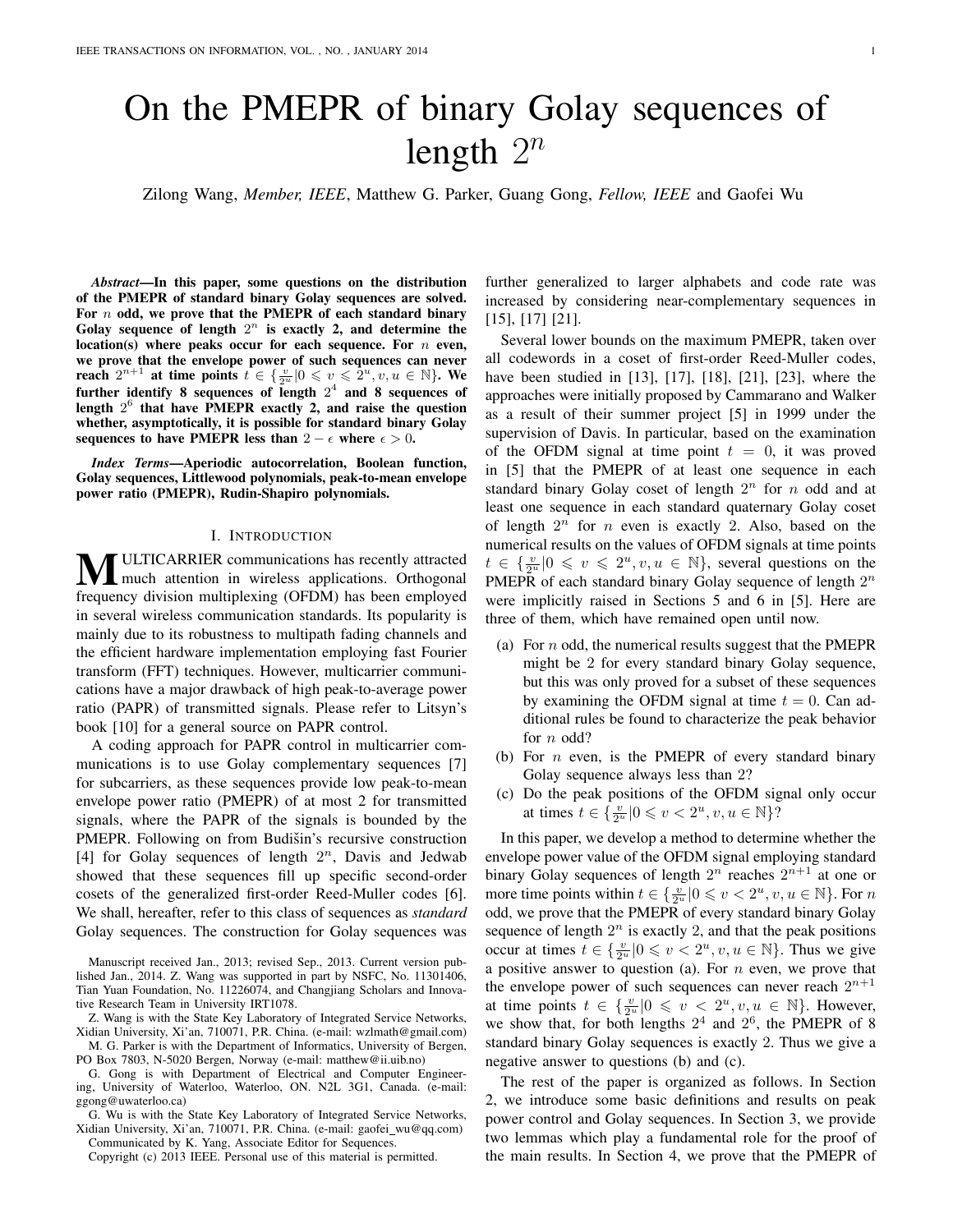# On the PMEPR of binary Golay sequences of length  $2^n$

Zilong Wang, *Member, IEEE*, Matthew G. Parker, Guang Gong, *Fellow, IEEE* and Gaofei Wu

*Abstract*—In this paper, some questions on the distribution of the PMEPR of standard binary Golay sequences are solved. For  $n$  odd, we prove that the PMEPR of each standard binary Golay sequence of length  $2^n$  is exactly 2, and determine the location(s) where peaks occur for each sequence. For  $n$  even, we prove that the envelope power of such sequences can never reach  $2^{n+1}$  at time points  $t \in \{\frac{v}{2^u}|0 \leqslant v \leqslant 2^u, v, u \in \mathbb{N}\}$ . We further identify 8 sequences of length  $2^4$  and 8 sequences of length  $2^6$  that have PMEPR exactly 2, and raise the question whether, asymptotically, it is possible for standard binary Golay sequences to have PMEPR less than  $2 - \epsilon$  where  $\epsilon > 0$ .

*Index Terms*—Aperiodic autocorrelation, Boolean function, Golay sequences, Littlewood polynomials, peak-to-mean envelope power ratio (PMEPR), Rudin-Shapiro polynomials.

### I. INTRODUCTION

**MULTICARRIER communications has recently attracted**<br>much attention in wireless applications. Orthogonal frequency division multiplexing (OFDM) has been employed in several wireless communication standards. Its popularity is mainly due to its robustness to multipath fading channels and the efficient hardware implementation employing fast Fourier transform (FFT) techniques. However, multicarrier communications have a major drawback of high peak-to-average power ratio (PAPR) of transmitted signals. Please refer to Litsyn's book [10] for a general source on PAPR control.

A coding approach for PAPR control in multicarrier communications is to use Golay complementary sequences [7] for subcarriers, as these sequences provide low peak-to-mean envelope power ratio (PMEPR) of at most 2 for transmitted signals, where the PAPR of the signals is bounded by the PMEPR. Following on from Budišin's recursive construction [4] for Golay sequences of length  $2^n$ , Davis and Jedwab showed that these sequences fill up specific second-order cosets of the generalized first-order Reed-Muller codes [6]. We shall, hereafter, refer to this class of sequences as *standard* Golay sequences. The construction for Golay sequences was

Manuscript received Jan., 2013; revised Sep., 2013. Current version published Jan., 2014. Z. Wang was supported in part by NSFC, No. 11301406, Tian Yuan Foundation, No. 11226074, and Changjiang Scholars and Innovative Research Team in University IRT1078.

Z. Wang is with the State Key Laboratory of Integrated Service Networks, Xidian University, Xi'an, 710071, P.R. China. (e-mail: wzlmath@gmail.com) M. G. Parker is with the Department of Informatics, University of Bergen,

PO Box 7803, N-5020 Bergen, Norway (e-mail: matthew@ii.uib.no)

G. Gong is with Department of Electrical and Computer Engineering, University of Waterloo, Waterloo, ON. N2L 3G1, Canada. (e-mail: ggong@uwaterloo.ca)

G. Wu is with the State Key Laboratory of Integrated Service Networks, Xidian University, Xi'an, 710071, P.R. China. (e-mail: gaofei\_wu@qq.com) Communicated by K. Yang, Associate Editor for Sequences.

Copyright (c) 2013 IEEE. Personal use of this material is permitted.

further generalized to larger alphabets and code rate was increased by considering near-complementary sequences in [15], [17] [21].

Several lower bounds on the maximum PMEPR, taken over all codewords in a coset of first-order Reed-Muller codes, have been studied in [13], [17], [18], [21], [23], where the approaches were initially proposed by Cammarano and Walker as a result of their summer project [5] in 1999 under the supervision of Davis. In particular, based on the examination of the OFDM signal at time point  $t = 0$ , it was proved in [5] that the PMEPR of at least one sequence in each standard binary Golay coset of length  $2^n$  for n odd and at least one sequence in each standard quaternary Golay coset of length  $2^n$  for n even is exactly 2. Also, based on the numerical results on the values of OFDM signals at time points  $t \in \{\frac{v}{2^u} | 0 \leq v \leq 2^u, v, u \in \mathbb{N}\},$  several questions on the PMEPR of each standard binary Golay sequence of length  $2^n$ were implicitly raised in Sections 5 and 6 in [5]. Here are three of them, which have remained open until now.

- (a) For n odd, the numerical results suggest that the PMEPR might be 2 for every standard binary Golay sequence, but this was only proved for a subset of these sequences by examining the OFDM signal at time  $t = 0$ . Can additional rules be found to characterize the peak behavior for *n* odd?
- (b) For  $n$  even, is the PMEPR of every standard binary Golay sequence always less than 2?
- (c) Do the peak positions of the OFDM signal only occur at times  $t \in \left\{ \frac{v}{2^u} | 0 \leq v < 2^u, v, u \in \mathbb{N} \right\}$ ?

In this paper, we develop a method to determine whether the envelope power value of the OFDM signal employing standard binary Golay sequences of length  $2^n$  reaches  $2^{n+1}$  at one or more time points within  $t \in \{\frac{v}{2^u} | 0 \leq v < 2^u, v, u \in \mathbb{N}\}$ . For  $n$ odd, we prove that the PMEPR of every standard binary Golay sequence of length  $2^n$  is exactly 2, and that the peak positions occur at times  $t \in \{\frac{v}{2^u} | 0 \leq v < 2^u, v, u \in \mathbb{N}\}.$  Thus we give a positive answer to question (a). For  $n$  even, we prove that the envelope power of such sequences can never reach  $2^{n+1}$ at time points  $t \in \{\frac{v}{2^u} | 0 \leq v < 2^u, v, u \in \mathbb{N}\}.$  However, we show that, for both lengths  $2^4$  and  $2^6$ , the PMEPR of 8 standard binary Golay sequences is exactly 2. Thus we give a negative answer to questions (b) and (c).

The rest of the paper is organized as follows. In Section 2, we introduce some basic definitions and results on peak power control and Golay sequences. In Section 3, we provide two lemmas which play a fundamental role for the proof of the main results. In Section 4, we prove that the PMEPR of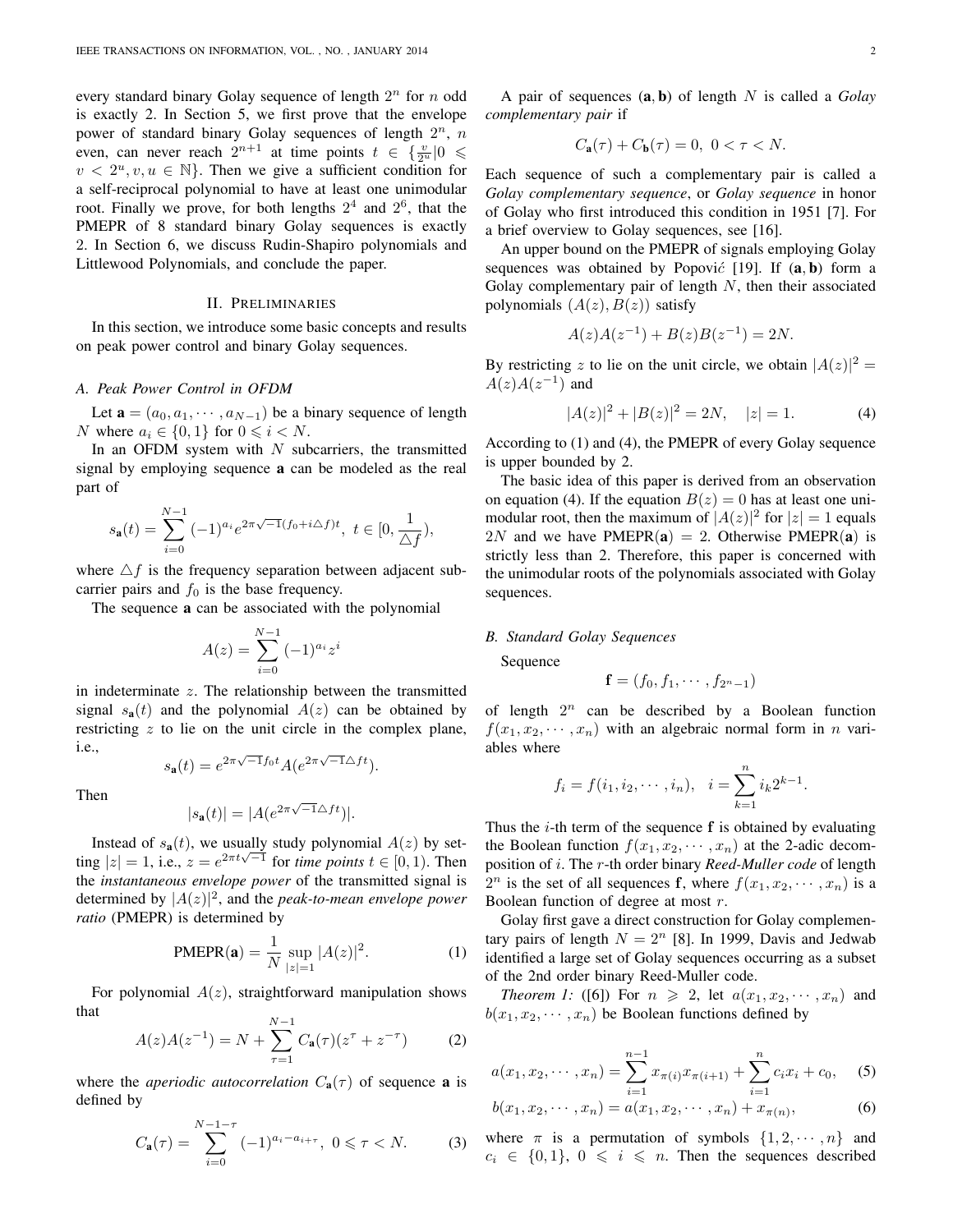every standard binary Golay sequence of length  $2<sup>n</sup>$  for n odd is exactly 2. In Section 5, we first prove that the envelope power of standard binary Golay sequences of length  $2^n$ , n even, can never reach  $2^{n+1}$  at time points  $t \in \left\{\frac{v}{2^n} |0 \leq$  $v < 2^u, v, u \in \mathbb{N}$ . Then we give a sufficient condition for a self-reciprocal polynomial to have at least one unimodular root. Finally we prove, for both lengths  $2^4$  and  $2^6$ , that the PMEPR of 8 standard binary Golay sequences is exactly 2. In Section 6, we discuss Rudin-Shapiro polynomials and Littlewood Polynomials, and conclude the paper.

## II. PRELIMINARIES

In this section, we introduce some basic concepts and results on peak power control and binary Golay sequences.

### *A. Peak Power Control in OFDM*

Let  $\mathbf{a} = (a_0, a_1, \dots, a_{N-1})$  be a binary sequence of length N where  $a_i \in \{0, 1\}$  for  $0 \leq i \leq N$ .

In an OFDM system with  $N$  subcarriers, the transmitted signal by employing sequence a can be modeled as the real part of

$$
s_{\mathbf{a}}(t) = \sum_{i=0}^{N-1} (-1)^{a_i} e^{2\pi \sqrt{-1}(f_0 + i\Delta f)t}, \ t \in [0, \frac{1}{\Delta f}),
$$

where  $\Delta f$  is the frequency separation between adjacent subcarrier pairs and  $f_0$  is the base frequency.

The sequence a can be associated with the polynomial

$$
A(z) = \sum_{i=0}^{N-1} (-1)^{a_i} z^i
$$

in indeterminate  $z$ . The relationship between the transmitted signal  $s_a(t)$  and the polynomial  $A(z)$  can be obtained by restricting  $z$  to lie on the unit circle in the complex plane, i.e.,  $s_{\bf a}(t) = e^{2\pi\sqrt{-1}f_0t} A(e^{2\pi\sqrt{-1}\Delta ft}).$ 

Then

$$
|s_{\mathbf{a}}(t)| = |A(e^{2\pi\sqrt{-1}\Delta ft})|.
$$

Instead of  $s_{a}(t)$ , we usually study polynomial  $A(z)$  by setting  $|z| = 1$ , i.e.,  $z = e^{2\pi t \sqrt{-1}}$  for *time points*  $t \in [0, 1)$ . Then the *instantaneous envelope power* of the transmitted signal is determined by  $|A(z)|^2$ , and the *peak-to-mean envelope power ratio* (PMEPR) is determined by

PMEPR(**a**) = 
$$
\frac{1}{N} \sup_{|z|=1} |A(z)|^2
$$
. (1)

For polynomial  $A(z)$ , straightforward manipulation shows that

$$
A(z)A(z^{-1}) = N + \sum_{\tau=1}^{N-1} C_{\mathbf{a}}(\tau)(z^{\tau} + z^{-\tau})
$$
 (2)

where the *aperiodic autocorrelation*  $C_{a}(\tau)$  of sequence **a** is defined by

$$
C_{\mathbf{a}}(\tau) = \sum_{i=0}^{N-1-\tau} (-1)^{a_i - a_{i+\tau}}, \ 0 \leq \tau < N. \tag{3}
$$

A pair of sequences (a, b) of length N is called a *Golay complementary pair* if

$$
C_{\mathbf{a}}(\tau)+C_{\mathbf{b}}(\tau)=0,~0<\tau
$$

Each sequence of such a complementary pair is called a *Golay complementary sequence*, or *Golay sequence* in honor of Golay who first introduced this condition in 1951 [7]. For a brief overview to Golay sequences, see [16].

An upper bound on the PMEPR of signals employing Golay sequences was obtained by Popović  $[19]$ . If  $(a, b)$  form a Golay complementary pair of length  $N$ , then their associated polynomials  $(A(z), B(z))$  satisfy

$$
A(z)A(z^{-1}) + B(z)B(z^{-1}) = 2N.
$$

By restricting z to lie on the unit circle, we obtain  $|A(z)|^2 =$  $A(z)A(z^{-1})$  and

$$
|A(z)|^2 + |B(z)|^2 = 2N, \quad |z| = 1.
$$
 (4)

According to (1) and (4), the PMEPR of every Golay sequence is upper bounded by 2.

The basic idea of this paper is derived from an observation on equation (4). If the equation  $B(z) = 0$  has at least one unimodular root, then the maximum of  $|A(z)|^2$  for  $|z| = 1$  equals 2N and we have PMEPR(a) = 2. Otherwise PMEPR(a) is strictly less than 2. Therefore, this paper is concerned with the unimodular roots of the polynomials associated with Golay sequences.

## *B. Standard Golay Sequences*

Sequence

$$
\mathbf{f}=(f_0,f_1,\cdots,f_{2^n-1})
$$

of length  $2^n$  can be described by a Boolean function  $f(x_1, x_2, \dots, x_n)$  with an algebraic normal form in n variables where

$$
f_i = f(i_1, i_2, \cdots, i_n), \quad i = \sum_{k=1}^n i_k 2^{k-1}.
$$

Thus the  $i$ -th term of the sequence  $f$  is obtained by evaluating the Boolean function  $f(x_1, x_2, \dots, x_n)$  at the 2-adic decomposition of i. The r-th order binary *Reed-Muller code* of length  $2^n$  is the set of all sequences f, where  $f(x_1, x_2, \dots, x_n)$  is a Boolean function of degree at most r.

Golay first gave a direct construction for Golay complementary pairs of length  $N = 2<sup>n</sup>$  [8]. In 1999, Davis and Jedwab identified a large set of Golay sequences occurring as a subset of the 2nd order binary Reed-Muller code.

*Theorem 1:* ([6]) For  $n \ge 2$ , let  $a(x_1, x_2, \dots, x_n)$  and  $b(x_1, x_2, \dots, x_n)$  be Boolean functions defined by

$$
a(x_1, x_2, \cdots, x_n) = \sum_{i=1}^{n-1} x_{\pi(i)} x_{\pi(i+1)} + \sum_{i=1}^n c_i x_i + c_0, \quad (5)
$$

$$
b(x_1, x_2, \cdots, x_n) = a(x_1, x_2, \cdots, x_n) + x_{\pi(n)},
$$
 (6)

where  $\pi$  is a permutation of symbols  $\{1, 2, \dots, n\}$  and  $c_i \in \{0, 1\}, 0 \le i \le n$ . Then the sequences described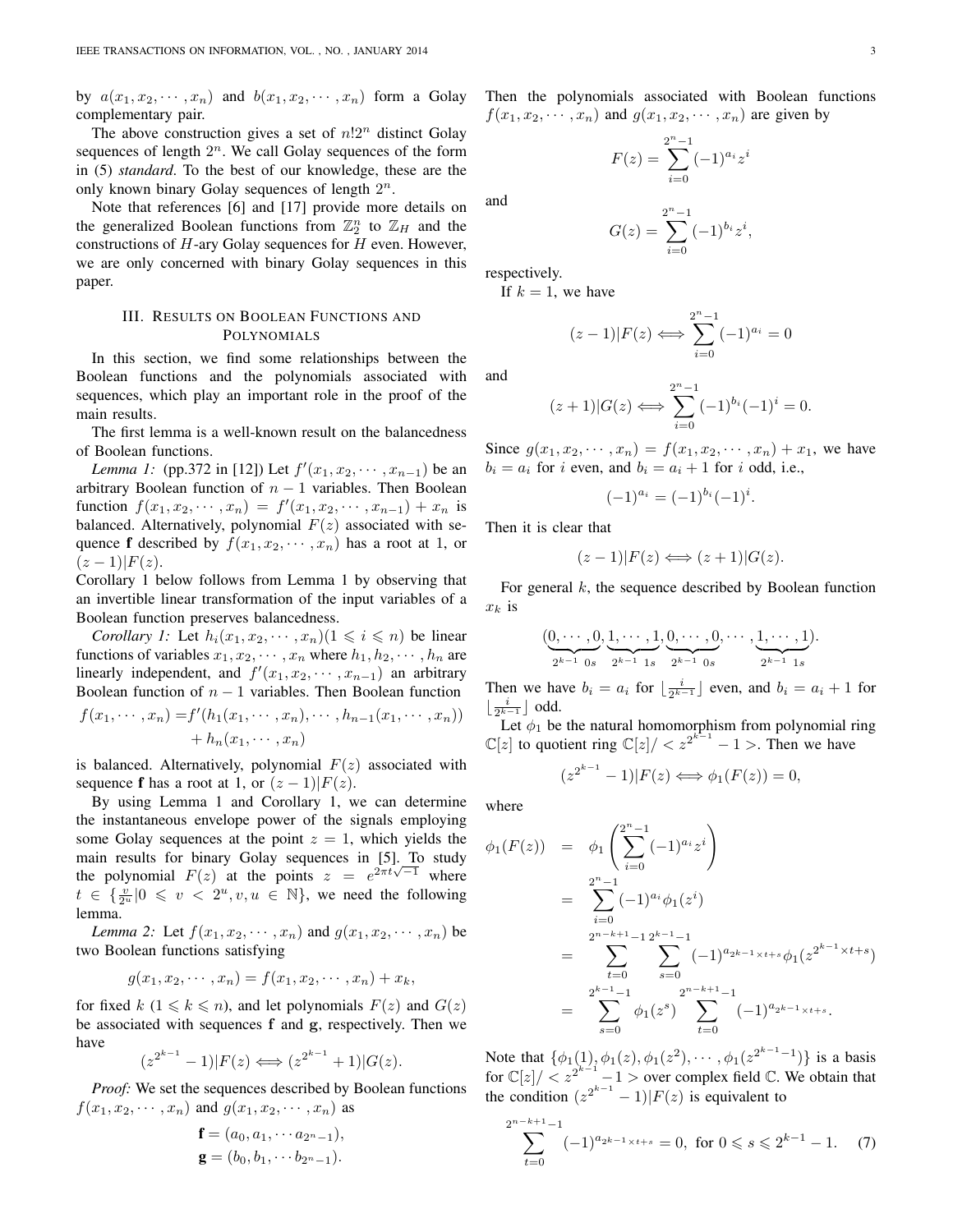by  $a(x_1, x_2, \dots, x_n)$  and  $b(x_1, x_2, \dots, x_n)$  form a Golay complementary pair.

The above construction gives a set of  $n!2^n$  distinct Golay sequences of length  $2^n$ . We call Golay sequences of the form in (5) *standard*. To the best of our knowledge, these are the only known binary Golay sequences of length  $2^n$ .

Note that references [6] and [17] provide more details on the generalized Boolean functions from  $\mathbb{Z}_2^n$  to  $\mathbb{Z}_H$  and the constructions of  $H$ -ary Golay sequences for  $H$  even. However, we are only concerned with binary Golay sequences in this paper.

## III. RESULTS ON BOOLEAN FUNCTIONS AND POLYNOMIALS

In this section, we find some relationships between the Boolean functions and the polynomials associated with sequences, which play an important role in the proof of the main results.

The first lemma is a well-known result on the balancedness of Boolean functions.

*Lemma 1:* (pp.372 in [12]) Let  $f'(x_1, x_2, \dots, x_{n-1})$  be an arbitrary Boolean function of  $n - 1$  variables. Then Boolean function  $f(x_1, x_2, \dots, x_n) = f'(x_1, x_2, \dots, x_{n-1}) + x_n$  is balanced. Alternatively, polynomial  $F(z)$  associated with sequence **f** described by  $f(x_1, x_2, \dots, x_n)$  has a root at 1, or  $(z-1)|F(z)|$ .

Corollary 1 below follows from Lemma 1 by observing that an invertible linear transformation of the input variables of a Boolean function preserves balancedness.

*Corollary 1:* Let  $h_i(x_1, x_2, \dots, x_n)$  ( $1 \leq i \leq n$ ) be linear functions of variables  $x_1, x_2, \dots, x_n$  where  $h_1, h_2, \dots, h_n$  are linearly independent, and  $f'(x_1, x_2, \dots, x_{n-1})$  an arbitrary Boolean function of  $n - 1$  variables. Then Boolean function

$$
f(x_1, \dots, x_n) = f'(h_1(x_1, \dots, x_n), \dots, h_{n-1}(x_1, \dots, x_n)) + h_n(x_1, \dots, x_n)
$$

is balanced. Alternatively, polynomial  $F(z)$  associated with sequence **f** has a root at 1, or  $(z - 1)|F(z)|$ .

By using Lemma 1 and Corollary 1, we can determine the instantaneous envelope power of the signals employing some Golay sequences at the point  $z = 1$ , which yields the main results for binary Golay sequences in [5]. To study the polynomial  $F(z)$  at the points  $z = e^{2\pi i \sqrt{-1}}$  where  $t \in \{\frac{v}{2^u} | 0 \leq v < 2^u, v, u \in \mathbb{N}\},$  we need the following lemma.

*Lemma 2:* Let  $f(x_1, x_2, \dots, x_n)$  and  $g(x_1, x_2, \dots, x_n)$  be two Boolean functions satisfying

$$
g(x_1, x_2, \cdots, x_n) = f(x_1, x_2, \cdots, x_n) + x_k,
$$

for fixed k  $(1 \le k \le n)$ , and let polynomials  $F(z)$  and  $G(z)$ be associated with sequences f and g, respectively. Then we have

$$
(z^{2^{k-1}} - 1)|F(z) \iff (z^{2^{k-1}} + 1)|G(z).
$$

*Proof:* We set the sequences described by Boolean functions  $f(x_1, x_2, \dots, x_n)$  and  $g(x_1, x_2, \dots, x_n)$  as

$$
\mathbf{f} = (a_0, a_1, \cdots a_{2^n - 1}),
$$
  

$$
\mathbf{g} = (b_0, b_1, \cdots b_{2^n - 1}).
$$

Then the polynomials associated with Boolean functions  $f(x_1, x_2, \dots, x_n)$  and  $g(x_1, x_2, \dots, x_n)$  are given by

$$
F(z) = \sum_{i=0}^{2^{n}-1} (-1)^{a_i} z^i
$$

and

$$
G(z) = \sum_{i=0}^{2^{n}-1} (-1)^{b_i} z^i,
$$

respectively.

If  $k = 1$ , we have

$$
(z-1)|F(z) \iff \sum_{i=0}^{2^{n}-1} (-1)^{a_i} = 0
$$

and

$$
(z+1)|G(z) \iff \sum_{i=0}^{2^{n}-1} (-1)^{b_i} (-1)^{i} = 0.
$$

Since  $g(x_1, x_2, \dots, x_n) = f(x_1, x_2, \dots, x_n) + x_1$ , we have  $b_i = a_i$  for i even, and  $b_i = a_i + 1$  for i odd, i.e.,

$$
(-1)^{a_i} = (-1)^{b_i} (-1)^i.
$$

Then it is clear that

$$
(z-1)|F(z) \Longleftrightarrow (z+1)|G(z).
$$

For general  $k$ , the sequence described by Boolean function  $x_k$  is

$$
(\underbrace{0, \cdots, 0}_{2^{k-1} 0 s}, \underbrace{1, \cdots, 1}_{2^{k-1} 1 s}, \underbrace{0, \cdots, 0}_{2^{k-1} 0 s}, \cdots, \underbrace{1, \cdots, 1}_{2^{k-1} 1 s}).
$$

Then we have  $b_i = a_i$  for  $\lfloor \frac{i}{2^{k-1}} \rfloor$  even, and  $b_i = a_i + 1$  for  $\lfloor \frac{i}{2^{k-1}} \rfloor$ odd.

Let  $\phi_1$  be the natural homomorphism from polynomial ring  $\mathbb{C}[z]$  to quotient ring  $\mathbb{C}[z]/\langle z^{2^{k-1}}-1\rangle$ . Then we have

$$
(z^{2^{k-1}}-1)|F(z)\Longleftrightarrow \phi_1(F(z))=0,
$$

where

$$
\phi_1(F(z)) = \phi_1\left(\sum_{i=0}^{2^n-1}(-1)^{a_i}z^i\right)
$$
  
\n
$$
= \sum_{i=0}^{2^n-1}(-1)^{a_i}\phi_1(z^i)
$$
  
\n
$$
= \sum_{t=0}^{2^{n-k+1}-1} \sum_{s=0}^{2^{k-1}-1}(-1)^{a_{2k-1}}x^{t+s}\phi_1(z^{2^{k-1}}x^{t+s})
$$
  
\n
$$
= \sum_{s=0}^{2^{k-1}-1} \phi_1(z^s) \sum_{t=0}^{2^{n-k+1}-1}(-1)^{a_{2k-1}}x^{t+s}.
$$

Note that  $\{\phi_1(1), \phi_1(z), \phi_1(z^2), \cdots, \phi_1(z^{2^{k-1}-1})\}$  is a basis for  $\mathbb{C}[z]/\langle z^{2^{k-1}}-1\rangle$  over complex field  $\mathbb{C}$ . We obtain that the condition  $(z^{2^{k-1}} - 1)|F(z)$  is equivalent to

$$
\sum_{t=0}^{2^{n-k+1}-1} (-1)^{a_{2^{k-1}\times t+s}} = 0, \text{ for } 0 \le s \le 2^{k-1} - 1. \tag{7}
$$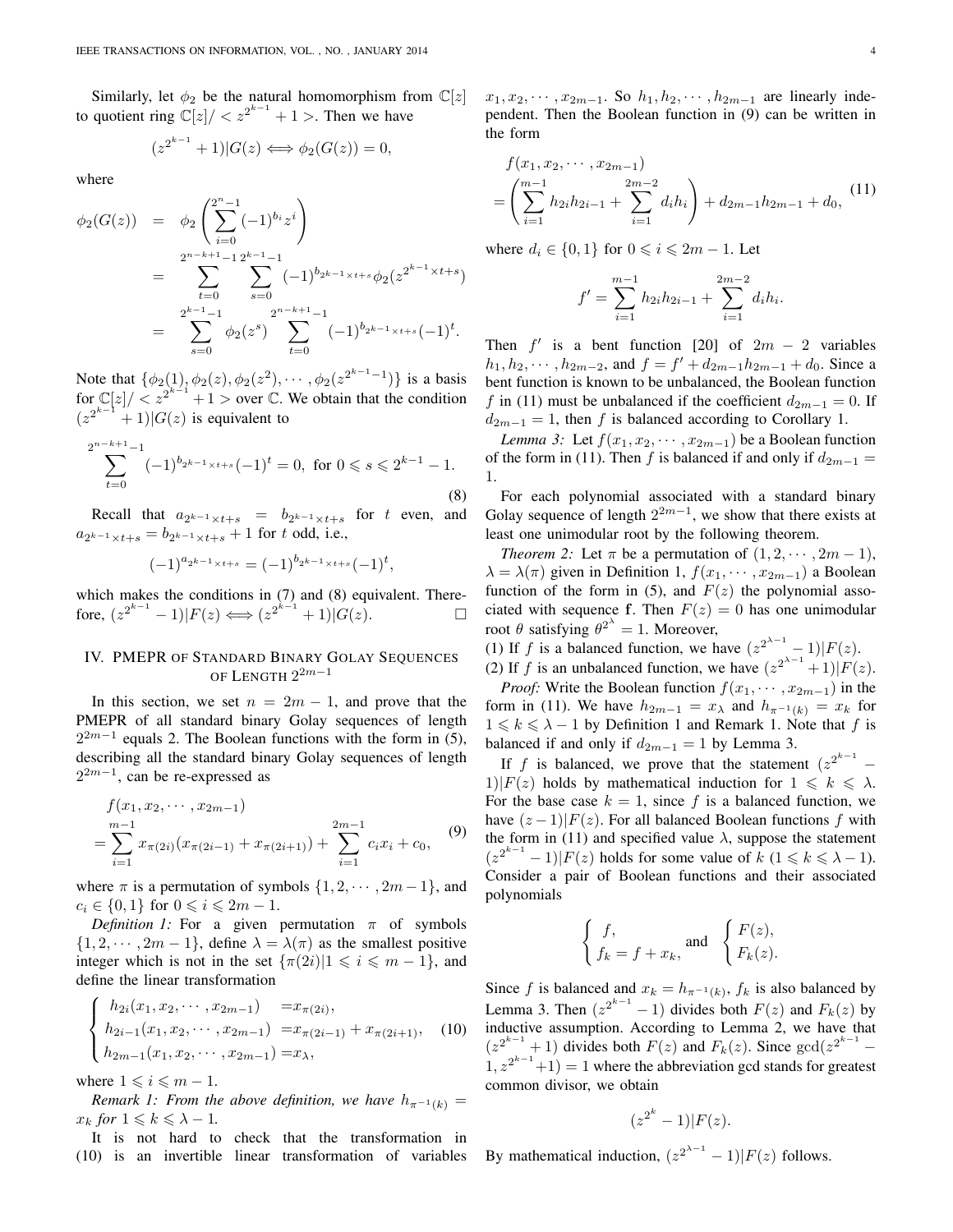Similarly, let  $\phi_2$  be the natural homomorphism from  $\mathbb{C}[z]$ to quotient ring  $\mathbb{C}[z]/ < z^{2^{k-1}} + 1$  >. Then we have

$$
(z^{2^{k-1}} + 1)|G(z) \Longleftrightarrow \phi_2(G(z)) = 0,
$$

where

$$
\begin{array}{rcl}\n\phi_2(G(z)) & = & \phi_2\left(\sum_{i=0}^{2^n-1}(-1)^{b_i}z^i\right) \\
& = & \sum_{t=0}^{2^{n-k+1}-1} \sum_{s=0}^{2^{k-1}-1}(-1)^{b_{2k-1}}\times\cdots+\phi_2(z^{2^{k-1}}\times t+s) \\
& = & \sum_{s=0}^{2^{k-1}-1} \phi_2(z^s) \sum_{t=0}^{2^{n-k+1}-1}(-1)^{b_{2k-1}}\times\cdots+(-1)^t.\n\end{array}
$$

Note that  $\{\phi_2(1), \phi_2(z), \phi_2(z^2), \cdots, \phi_2(z^{2^{k-1}-1})\}$  is a basis for  $\mathbb{C}[z]/\langle z^{2^{k-1}}+1\rangle$  over  $\mathbb C$ . We obtain that the condition  $(z^{2^{k-1}}+1)|G(z)|$  is equivalent to

$$
\sum_{t=0}^{2^{n-k+1}-1} (-1)^{b_{2^{k-1}\times t+s}} (-1)^t = 0, \text{ for } 0 \le s \le 2^{k-1} - 1.
$$
\n(8)

Recall that  $a_{2^{k-1}\times t+s} = b_{2^{k-1}\times t+s}$  for t even, and  $a_{2^{k-1}\times t+s} = b_{2^{k-1}\times t+s} + 1$  for t odd, i.e.,

$$
(-1)^{a_{2^{k-1}\times t+s}}=(-1)^{b_{2^{k-1}\times t+s}}(-1)^t,
$$

which makes the conditions in (7) and (8) equivalent. Therefore,  $(z^{2^{k-1}} - 1)|F(z) \Longleftrightarrow (z^{2^{k-1}} + 1)|G(z)$ .

# IV. PMEPR OF STANDARD BINARY GOLAY SEQUENCES OF LENGTH  $2^{2m-1}$

In this section, we set  $n = 2m - 1$ , and prove that the PMEPR of all standard binary Golay sequences of length  $2^{2m-1}$  equals 2. The Boolean functions with the form in (5), describing all the standard binary Golay sequences of length  $2^{2m-1}$ , can be re-expressed as

$$
f(x_1, x_2, \cdots, x_{2m-1})
$$
  
= 
$$
\sum_{i=1}^{m-1} x_{\pi(2i)} (x_{\pi(2i-1)} + x_{\pi(2i+1)}) + \sum_{i=1}^{2m-1} c_i x_i + c_0,
$$
 (9)

where  $\pi$  is a permutation of symbols  $\{1, 2, \dots, 2m-1\}$ , and  $c_i \in \{0, 1\}$  for  $0 \le i \le 2m - 1$ .

*Definition 1:* For a given permutation  $\pi$  of symbols  $\{1, 2, \dots, 2m - 1\}$ , define  $\lambda = \lambda(\pi)$  as the smallest positive integer which is not in the set  $\{\pi(2i)|1 \leq i \leq m-1\}$ , and define the linear transformation

$$
\begin{cases}\nh_{2i}(x_1, x_2, \cdots, x_{2m-1}) = x_{\pi(2i)}, \\
h_{2i-1}(x_1, x_2, \cdots, x_{2m-1}) = x_{\pi(2i-1)} + x_{\pi(2i+1)}, \\
h_{2m-1}(x_1, x_2, \cdots, x_{2m-1}) = x_{\lambda},\n\end{cases}
$$
\n(10)

where  $1 \leq i \leq m - 1$ .

*Remark 1: From the above definition, we have*  $h_{\pi^{-1}(k)} =$  $x_k$  *for*  $1 \leq k \leq \lambda - 1$ *.* 

It is not hard to check that the transformation in (10) is an invertible linear transformation of variables  $x_1, x_2, \cdots, x_{2m-1}$ . So  $h_1, h_2, \cdots, h_{2m-1}$  are linearly independent. Then the Boolean function in (9) can be written in the form

$$
f(x_1, x_2, \cdots, x_{2m-1})
$$
  
=  $\left(\sum_{i=1}^{m-1} h_{2i} h_{2i-1} + \sum_{i=1}^{2m-2} d_i h_i\right) + d_{2m-1} h_{2m-1} + d_0,$  (11)

where  $d_i \in \{0, 1\}$  for  $0 \leq i \leq 2m - 1$ . Let

$$
f' = \sum_{i=1}^{m-1} h_{2i} h_{2i-1} + \sum_{i=1}^{2m-2} d_i h_i.
$$

Then  $f'$  is a bent function [20] of  $2m - 2$  variables  $h_1, h_2, \cdots, h_{2m-2}$ , and  $f = f' + d_{2m-1}h_{2m-1} + d_0$ . Since a bent function is known to be unbalanced, the Boolean function f in (11) must be unbalanced if the coefficient  $d_{2m-1} = 0$ . If  $d_{2m-1} = 1$ , then f is balanced according to Corollary 1.

*Lemma 3:* Let  $f(x_1, x_2, \dots, x_{2m-1})$  be a Boolean function of the form in (11). Then f is balanced if and only if  $d_{2m-1} =$ 1.

For each polynomial associated with a standard binary Golay sequence of length  $2^{2m-1}$ , we show that there exists at least one unimodular root by the following theorem.

*Theorem 2:* Let  $\pi$  be a permutation of  $(1, 2, \cdots, 2m - 1)$ ,  $\lambda = \lambda(\pi)$  given in Definition 1,  $f(x_1, \dots, x_{2m-1})$  a Boolean function of the form in (5), and  $F(z)$  the polynomial associated with sequence f. Then  $F(z) = 0$  has one unimodular root  $\theta$  satisfying  $\theta^{2^{\lambda}} = 1$ . Moreover,

(1) If f is a balanced function, we have  $(z^{2^{\lambda-1}} - 1)|F(z)$ . (2) If f is an unbalanced function, we have  $(z^{2^{\lambda-1}}+1)|F(z)|$ .

*Proof:* Write the Boolean function  $f(x_1, \dots, x_{2m-1})$  in the form in (11). We have  $h_{2m-1} = x_{\lambda}$  and  $h_{\pi^{-1}(k)} = x_k$  for  $1 \leq k \leq \lambda - 1$  by Definition 1 and Remark 1. Note that f is balanced if and only if  $d_{2m-1} = 1$  by Lemma 3.

If f is balanced, we prove that the statement  $(z^{2^{k-1}} - z)$ 1)| $F(z)$  holds by mathematical induction for  $1 \le k \le \lambda$ . For the base case  $k = 1$ , since f is a balanced function, we have  $(z-1)|F(z)$ . For all balanced Boolean functions f with the form in (11) and specified value  $\lambda$ , suppose the statement  $(z^{2^{k-1}}-1)|F(z)$  holds for some value of  $k$   $(1 \le k \le \lambda - 1)$ . Consider a pair of Boolean functions and their associated polynomials

$$
\begin{cases}\nf, \\
f_k = f + x_k, \text{ and } \begin{cases}\nF(z), \\
F_k(z).\n\end{cases}
$$

Since f is balanced and  $x_k = h_{\pi^{-1}(k)}$ ,  $f_k$  is also balanced by Lemma 3. Then  $(z^{2^{k-1}}-1)$  divides both  $F(z)$  and  $F_k(z)$  by inductive assumption. According to Lemma 2, we have that  $(z^{2^{k-1}}+1)$  divides both  $F(z)$  and  $F_k(z)$ . Since  $gcd(z^{2^{k-1}}-1)$  $(1, z^{2^{k-1}}+1) = 1$  where the abbreviation gcd stands for greatest common divisor, we obtain

$$
(z^{2^k}-1)|F(z).
$$

By mathematical induction,  $(z^{2^{\lambda-1}} - 1)|F(z)$  follows.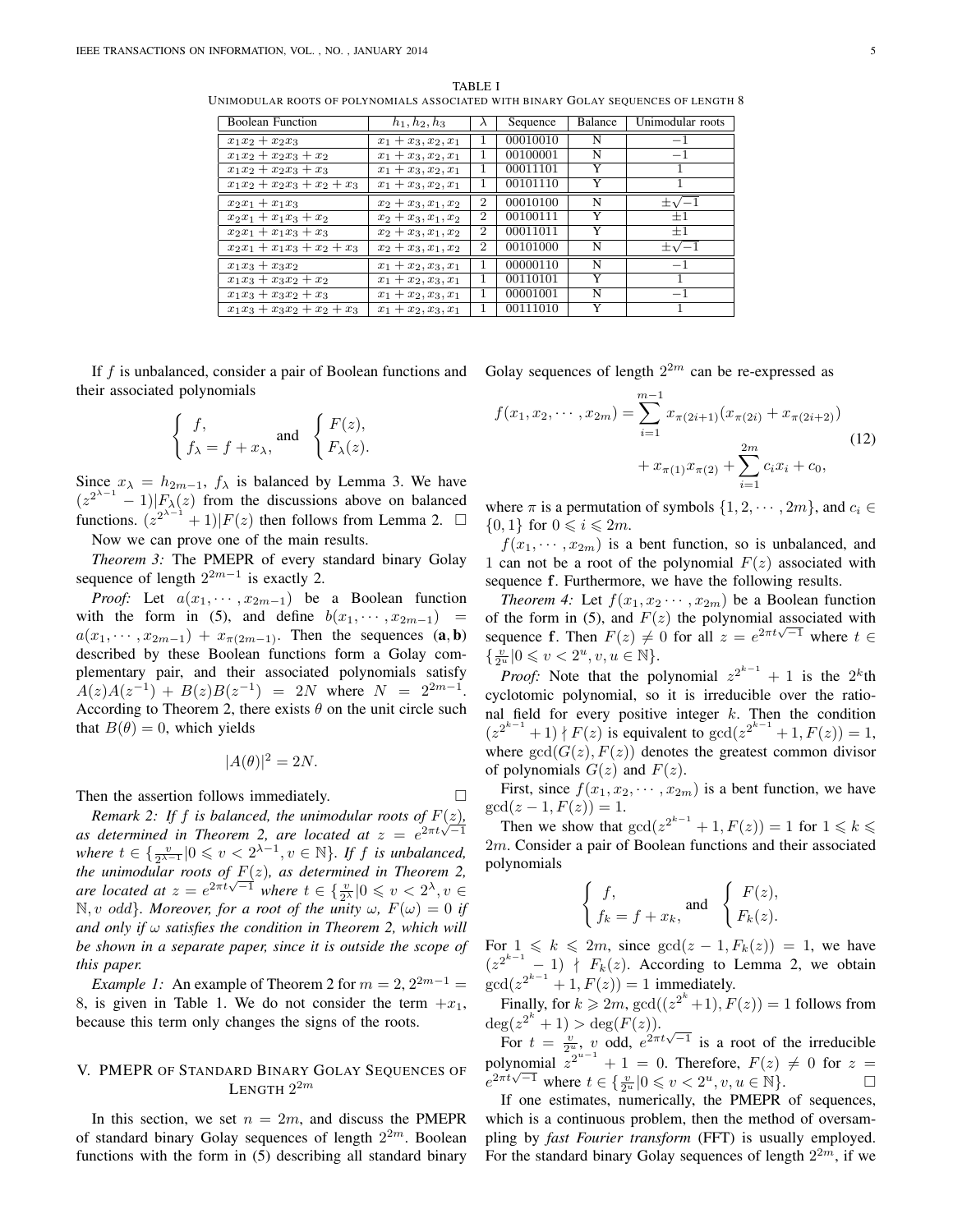Boolean Function  $h_1, h_2, h_3$   $\lambda$  Sequence Balance Unimodular roots  $x_1x_2 + x_2x_3$   $x_1 + x_3, x_2, x_1$  1 00010010 N<br>  $x_1x_2 + x_2x_2 + x_2$   $x_1 + x_2, x_2, x_1$  1 00100001 N  $x_1x_2 + x_2x_3 + x_2$   $x_1 + x_3, x_2, x_1$  1 00100001 N -1<br> $x_1x_2 + x_2x_3 + x_3$   $x_1 + x_3, x_2, x_1$  1 00011101 Y 1  $x_1x_2 + x_2x_3 + x_3$  $x_1x_2 + x_2x_3 + x_2 + x_3$   $x_1 + x_3, x_2, x_1$  1 00101110 Y 1 x2x<sup>1</sup> + x1x<sup>3</sup> x<sup>2</sup> + x3, x1, x<sup>2</sup> 2 00010100 N ±  $\frac{1}{\sqrt{-1}}$  $\begin{array}{|c|c|c|c|c|c|c|c|c|} \hline x_2x_1 + x_1x_3 + x_2 & x_2 + x_3, x_1, x_2 & 2 & 00100111 & Y_1 \ \hline x_2x_1 + x_1x_3 + x_3 & x_2 + x_3, x_1, x_2 & 2 & 00011011 & Y_1 \ \hline \end{array}$  $\begin{array}{|c|c|c|c|c|c|c|c|c|} \hline x_2x_1 + x_1x_3 + x_3 & x_2 + x_3, x_1, x_2 & 2 & 00011011 & Y \\ \hline x_2x_1 + x_1x_3 + x_2 + x_3 & x_2 + x_3, x_1, x_2 & 2 & 00101000 & N \end{array}$  $x_2x_1 + x_1x_3 + x_2 + x_3$  |  $x_2 + x_3, x_1, x_2$  $±1$  $\pm\sqrt{-1}$ x1x<sup>3</sup> + x3x<sup>2</sup> x<sup>1</sup> + x2, x3, x<sup>1</sup> 1 00000110 N −1  $x_1x_3 + x_3x_2 + x_2$   $x_1 + x_2, x_3, x_1$  1 00110101 Y 1  $x_1x_3 + x_3x_2 + x_3$   $x_1 + x_2, x_3, x_1$  1 00001001 N -1<br> $x_1x_3 + x_3x_2 + x_2 + x_3$   $x_1 + x_2, x_3, x_1$  1 00111010 Y 1  $\overline{x_1x_3 + x_3x_2 + x_2 + x_3}$   $\overline{x_1 + x_2, x_3, x_1}$  1

TABLE I UNIMODULAR ROOTS OF POLYNOMIALS ASSOCIATED WITH BINARY GOLAY SEQUENCES OF LENGTH 8

If f is unbalanced, consider a pair of Boolean functions and Golay sequences of length  $2^{2m}$  can be re-expressed as their associated polynomials

$$
\begin{cases}\nf, \\
f_{\lambda} = f + x_{\lambda},\n\end{cases}\n\text{ and }\n\begin{cases}\nF(z), \\
F_{\lambda}(z).\n\end{cases}
$$

Since  $x_{\lambda} = h_{2m-1}$ ,  $f_{\lambda}$  is balanced by Lemma 3. We have  $(z^{2^{\lambda-1}}-1)|F_{\lambda}(z)$  from the discussions above on balanced functions.  $(z^{2^{\lambda-1}}+1)|F(z)$  then follows from Lemma 2.  $\square$ Now we can prove one of the main results.

*Theorem 3:* The PMEPR of every standard binary Golay

sequence of length  $2^{2m-1}$  is exactly 2.

*Proof:* Let  $a(x_1, \dots, x_{2m-1})$  be a Boolean function with the form in (5), and define  $b(x_1, \dots, x_{2m-1})$  =  $a(x_1, \dots, x_{2m-1}) + x_{\pi(2m-1)}$ . Then the sequences  $(a, b)$ described by these Boolean functions form a Golay complementary pair, and their associated polynomials satisfy  $A(z)A(z^{-1}) + B(z)B(z^{-1}) = 2N$  where  $N = 2^{2m-1}$ . According to Theorem 2, there exists  $\theta$  on the unit circle such that  $B(\theta) = 0$ , which yields

$$
|A(\theta)|^2 = 2N.
$$

Then the assertion follows immediately.

*Remark 2: If f is balanced, the unimodular roots of*  $F(z)$ *, as determined in Theorem 2, are located at*  $z = e^{2\pi t \sqrt{-1}}$ *where*  $t \in \left\{ \frac{v}{2^{\lambda-1}} \middle| 0 \leq v < 2^{\lambda-1}, v \in \mathbb{N} \right\}$ . If *f is unbalanced, the unimodular roots of* F(z)*, as determined in Theorem 2, are located at*  $z = e^{2\pi t \sqrt{-1}}$  *where*  $t \in \left\{ \frac{v}{2^{\lambda}} \middle| 0 \leq v < 2^{\lambda}, v \in \right\}$  $\mathbb{N}, v$  odd}*. Moreover, for a root of the unity*  $\omega$ *,*  $F(\omega) = 0$  *if and only if* ω *satisfies the condition in Theorem 2, which will be shown in a separate paper, since it is outside the scope of this paper.*

*Example 1:* An example of Theorem 2 for  $m = 2, 2^{2m-1} =$ 8, is given in Table 1. We do not consider the term  $+x_1$ , because this term only changes the signs of the roots.

## V. PMEPR OF STANDARD BINARY GOLAY SEQUENCES OF LENGTH  $2^{2m}$

In this section, we set  $n = 2m$ , and discuss the PMEPR of standard binary Golay sequences of length  $2^{2m}$ . Boolean functions with the form in (5) describing all standard binary

$$
f(x_1, x_2, \cdots, x_{2m}) = \sum_{i=1}^{m-1} x_{\pi(2i+1)} (x_{\pi(2i)} + x_{\pi(2i+2)})
$$
  
+  $x_{\pi(1)} x_{\pi(2)} + \sum_{i=1}^{2m} c_i x_i + c_0,$  (12)

where  $\pi$  is a permutation of symbols  $\{1, 2, \dots, 2m\}$ , and  $c_i \in$  $\{0,1\}$  for  $0 \leqslant i \leqslant 2m$ .

 $f(x_1, \dots, x_{2m})$  is a bent function, so is unbalanced, and 1 can not be a root of the polynomial  $F(z)$  associated with sequence f. Furthermore, we have the following results.

*Theorem 4:* Let  $f(x_1, x_2, \dots, x_{2m})$  be a Boolean function of the form in (5), and  $F(z)$  the polynomial associated with sequence f. Then  $F(z) \neq 0$  for all  $z = e^{2\pi t \sqrt{-1}}$  where  $t \in$  $\{\tfrac{v}{2^u}|0\leqslant v<2^u, v,u\in\mathbb{N}\}.$ 

*Proof:* Note that the polynomial  $z^{2^{k-1}} + 1$  is the  $2^k$ th cyclotomic polynomial, so it is irreducible over the rational field for every positive integer  $k$ . Then the condition  $(z^{2^{k-1}}+1)$  |  $F(z)$  is equivalent to  $gcd(z^{2^{k-1}}+1, F(z)) = 1$ , where  $gcd(G(z), F(z))$  denotes the greatest common divisor of polynomials  $G(z)$  and  $F(z)$ .

First, since  $f(x_1, x_2, \dots, x_{2m})$  is a bent function, we have  $gcd(z - 1, F(z)) = 1.$ 

Then we show that  $gcd(z^{2^{k-1}} + 1, F(z)) = 1$  for  $1 \le k \le$ 2m. Consider a pair of Boolean functions and their associated polynomials

$$
\begin{cases}\nf, \\
f_k = f + x_k, \text{ and } \begin{cases}\nF(z), \\
F_k(z).\n\end{cases}
$$

For  $1 \le k \le 2m$ , since  $gcd(z - 1, F_k(z)) = 1$ , we have  $(z^{2^{k-1}}-1)$  |  $F_k(z)$ . According to Lemma 2, we obtain  $gcd(z^{2^{k-1}} + 1, F(z)) = 1$  immediately.

Finally, for  $k \geq 2m$ ,  $gcd((z^{2^k}+1), F(z)) = 1$  follows from  $deg(z^{2^k} + 1) > deg(F(z)).$ 

For  $t = \frac{v}{2^u}$ , v odd,  $e^{2\pi t\sqrt{-1}}$  is a root of the irreducible polynomial  $z^{2^{u-1}} + 1 = 0$ . Therefore,  $F(z) \neq 0$  for  $z = e^{2\pi t\sqrt{-1}}$  where  $t \in \mathcal{L}$   $\mathbb{R}^1 \subset \mathbb{R}^2$  as  $u \in \mathbb{N}$  $e^{2\pi t\sqrt{-1}}$  where  $t \in \{\frac{v}{2^u}|0 \leq v < 2^u, v, u \in \mathbb{N}\}.$ 

If one estimates, numerically, the PMEPR of sequences, which is a continuous problem, then the method of oversampling by *fast Fourier transform* (FFT) is usually employed. For the standard binary Golay sequences of length  $2^{2m}$ , if we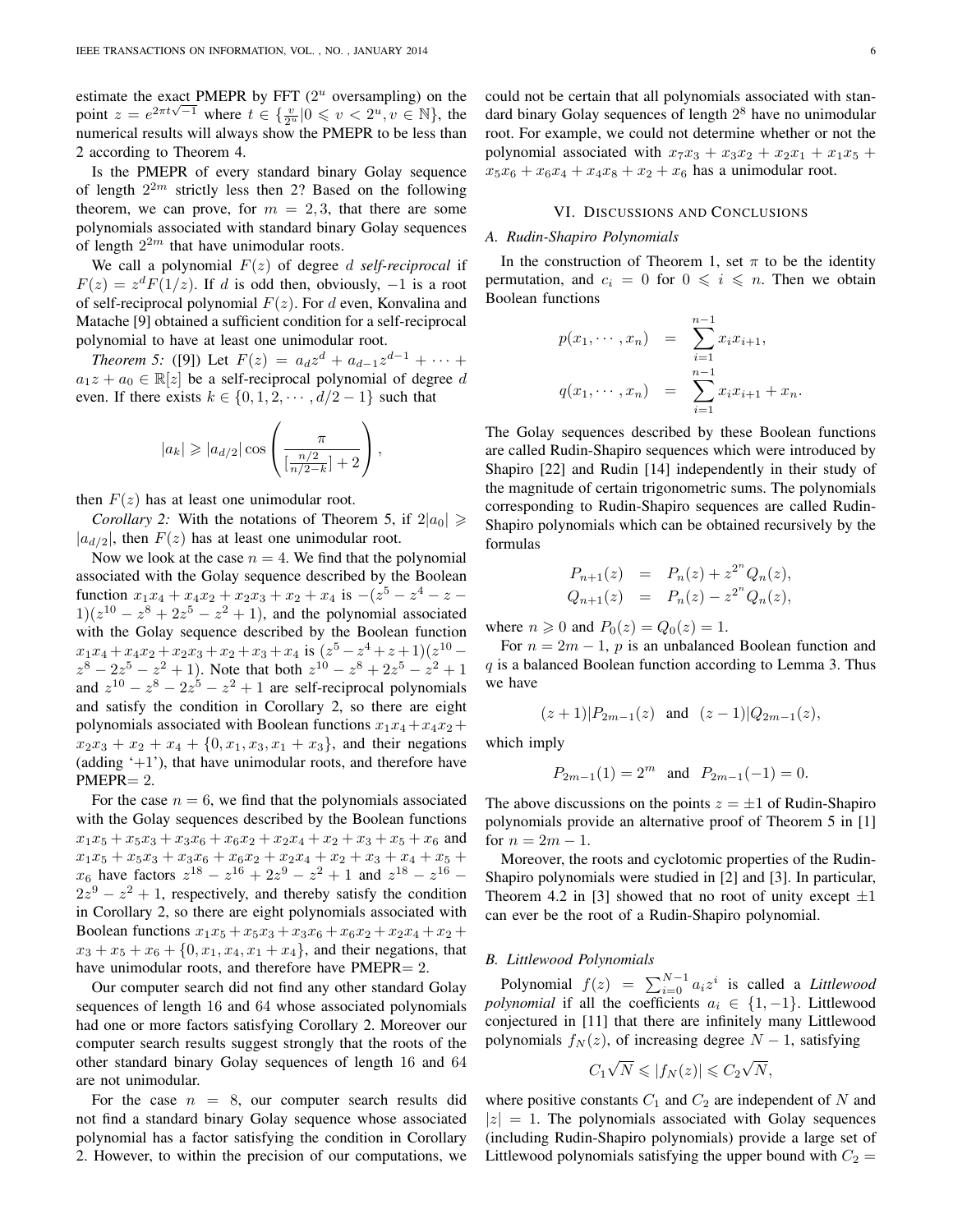estimate the exact PMEPR by FFT  $(2<sup>u</sup>$  oversampling) on the bestimate the exact FWEFK by FFT (2) oversampling) on the point  $z = e^{2\pi t \sqrt{-1}}$  where  $t \in \{\frac{v}{2^u} | 0 \leq v < 2^u, v \in \mathbb{N}\}$ , the numerical results will always show the PMEPR to be less than 2 according to Theorem 4.

Is the PMEPR of every standard binary Golay sequence of length  $2^{2m}$  strictly less then 2? Based on the following theorem, we can prove, for  $m = 2, 3$ , that there are some polynomials associated with standard binary Golay sequences of length  $2^{2m}$  that have unimodular roots.

We call a polynomial  $F(z)$  of degree d self-reciprocal if  $F(z) = z<sup>d</sup> F(1/z)$ . If d is odd then, obviously, -1 is a root of self-reciprocal polynomial  $F(z)$ . For d even, Konvalina and Matache [9] obtained a sufficient condition for a self-reciprocal polynomial to have at least one unimodular root.

*Theorem 5:* ([9]) Let  $F(z) = a_d z^d + a_{d-1} z^{d-1} + \cdots$  $a_1z + a_0 \in \mathbb{R}[z]$  be a self-reciprocal polynomial of degree d even. If there exists  $k \in \{0, 1, 2, \dots, d/2 - 1\}$  such that

$$
|a_k| \geqslant |a_{d/2}| \cos \left( \frac{\pi}{\left[\frac{n/2}{n/2-k}\right]+2} \right),\,
$$

then  $F(z)$  has at least one unimodular root.

*Corollary 2:* With the notations of Theorem 5, if  $2|a_0| \geq$  $|a_{d/2}|$ , then  $F(z)$  has at least one unimodular root.

Now we look at the case  $n = 4$ . We find that the polynomial associated with the Golay sequence described by the Boolean function  $x_1x_4 + x_4x_2 + x_2x_3 + x_2 + x_4$  is  $-(z^5 - z^4 - z - z)$  $1(z^{10} - z^8 + 2z^5 - z^2 + 1)$ , and the polynomial associated with the Golay sequence described by the Boolean function  $x_1x_4 + x_4x_2 + x_2x_3 + x_2 + x_3 + x_4$  is  $(z^5 - z^4 + z + 1)(z^{10} - z^4 + z^2 + z^3)$  $z^8 - 2z^5 - z^2 + 1$ ). Note that both  $z^{10} - z^8 + 2z^5 - z^2 + 1$ and  $z^{10} - z^8 - 2z^5 - z^2 + 1$  are self-reciprocal polynomials and satisfy the condition in Corollary 2, so there are eight polynomials associated with Boolean functions  $x_1x_4+x_4x_2+$  $x_2x_3 + x_2 + x_4 + \{0, x_1, x_3, x_1 + x_3\}$ , and their negations (adding  $+1$ ), that have unimodular roots, and therefore have PMEPR= 2.

For the case  $n = 6$ , we find that the polynomials associated with the Golay sequences described by the Boolean functions  $x_1x_5 + x_5x_3 + x_3x_6 + x_6x_2 + x_2x_4 + x_2 + x_3 + x_5 + x_6$  and  $x_1x_5 + x_5x_3 + x_3x_6 + x_6x_2 + x_2x_4 + x_2 + x_3 + x_4 + x_5 +$  $x_6$  have factors  $z^{18} - z^{16} + 2z^9 - z^2 + 1$  and  $z^{18} - z^{16} - z^8$  $2z^{9} - z^{2} + 1$ , respectively, and thereby satisfy the condition in Corollary 2, so there are eight polynomials associated with Boolean functions  $x_1x_5 + x_5x_3 + x_3x_6 + x_6x_2 + x_2x_4 + x_2 +$  $x_3 + x_5 + x_6 + \{0, x_1, x_4, x_1 + x_4\}$ , and their negations, that have unimodular roots, and therefore have PMEPR= 2.

Our computer search did not find any other standard Golay sequences of length 16 and 64 whose associated polynomials had one or more factors satisfying Corollary 2. Moreover our computer search results suggest strongly that the roots of the other standard binary Golay sequences of length 16 and 64 are not unimodular.

For the case  $n = 8$ , our computer search results did not find a standard binary Golay sequence whose associated polynomial has a factor satisfying the condition in Corollary 2. However, to within the precision of our computations, we could not be certain that all polynomials associated with standard binary Golay sequences of length  $2^8$  have no unimodular root. For example, we could not determine whether or not the polynomial associated with  $x_7x_3 + x_3x_2 + x_2x_1 + x_1x_5 +$  $x_5x_6 + x_6x_4 + x_4x_8 + x_2 + x_6$  has a unimodular root.

## VI. DISCUSSIONS AND CONCLUSIONS

## *A. Rudin-Shapiro Polynomials*

In the construction of Theorem 1, set  $\pi$  to be the identity permutation, and  $c_i = 0$  for  $0 \leq i \leq n$ . Then we obtain Boolean functions

$$
p(x_1, \dots, x_n) = \sum_{i=1}^{n-1} x_i x_{i+1},
$$
  

$$
q(x_1, \dots, x_n) = \sum_{i=1}^{n-1} x_i x_{i+1} + x_n.
$$

The Golay sequences described by these Boolean functions are called Rudin-Shapiro sequences which were introduced by Shapiro [22] and Rudin [14] independently in their study of the magnitude of certain trigonometric sums. The polynomials corresponding to Rudin-Shapiro sequences are called Rudin-Shapiro polynomials which can be obtained recursively by the formulas

$$
P_{n+1}(z) = P_n(z) + z^{2^n} Q_n(z),
$$
  
\n
$$
Q_{n+1}(z) = P_n(z) - z^{2^n} Q_n(z),
$$

where  $n \geqslant 0$  and  $P_0(z) = Q_0(z) = 1$ .

For  $n = 2m - 1$ , p is an unbalanced Boolean function and  $q$  is a balanced Boolean function according to Lemma 3. Thus we have

$$
(z+1)|P_{2m-1}(z)
$$
 and  $(z-1)|Q_{2m-1}(z)$ ,

which imply

$$
P_{2m-1}(1) = 2^m
$$
 and  $P_{2m-1}(-1) = 0$ .

The above discussions on the points  $z = \pm 1$  of Rudin-Shapiro polynomials provide an alternative proof of Theorem 5 in [1] for  $n = 2m - 1$ .

Moreover, the roots and cyclotomic properties of the Rudin-Shapiro polynomials were studied in [2] and [3]. In particular, Theorem 4.2 in [3] showed that no root of unity except  $\pm 1$ can ever be the root of a Rudin-Shapiro polynomial.

## *B. Littlewood Polynomials*

Polynomial  $f(z) = \sum_{i=0}^{N-1} a_i z^i$  is called a *Littlewood polynomial* if all the coefficients  $a_i \in \{1, -1\}$ . Littlewood conjectured in [11] that there are infinitely many Littlewood polynomials  $f_N(z)$ , of increasing degree  $N-1$ , satisfying

$$
C_1\sqrt{N} \leqslant |f_N(z)| \leqslant C_2\sqrt{N},
$$

where positive constants  $C_1$  and  $C_2$  are independent of N and  $|z| = 1$ . The polynomials associated with Golay sequences (including Rudin-Shapiro polynomials) provide a large set of Littlewood polynomials satisfying the upper bound with  $C_2$  =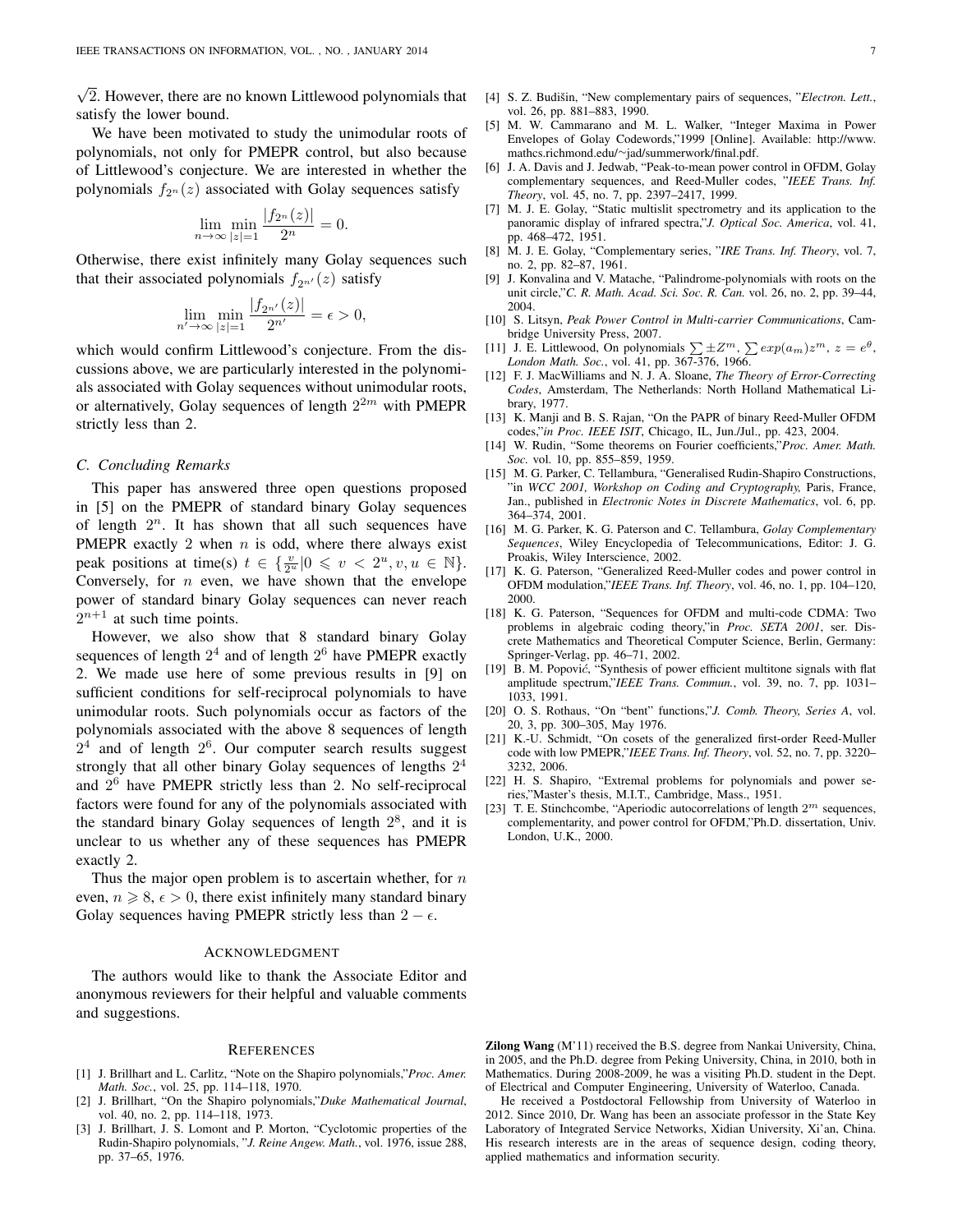√ 2. However, there are no known Littlewood polynomials that satisfy the lower bound.

We have been motivated to study the unimodular roots of polynomials, not only for PMEPR control, but also because of Littlewood's conjecture. We are interested in whether the polynomials  $f_{2n}(z)$  associated with Golay sequences satisfy

$$
\lim_{n \to \infty} \min_{|z|=1} \frac{|f_{2^n}(z)|}{2^n} = 0.
$$

Otherwise, there exist infinitely many Golay sequences such that their associated polynomials  $f_{2n'}(z)$  satisfy

$$
\lim_{n'\to\infty}\min_{|z|=1}\frac{|f_{2^{n'}}(z)|}{2^{n'}}=\epsilon>0,
$$

which would confirm Littlewood's conjecture. From the discussions above, we are particularly interested in the polynomials associated with Golay sequences without unimodular roots, or alternatively, Golay sequences of length  $2^{2m}$  with PMEPR strictly less than 2.

## *C. Concluding Remarks*

This paper has answered three open questions proposed in [5] on the PMEPR of standard binary Golay sequences of length  $2^n$ . It has shown that all such sequences have PMEPR exactly 2 when  $n$  is odd, where there always exist peak positions at time(s)  $t \in \{\frac{v}{2^u} | 0 \leq v < 2^u, v, u \in \mathbb{N}\}.$ Conversely, for  $n$  even, we have shown that the envelope power of standard binary Golay sequences can never reach  $2^{n+1}$  at such time points.

However, we also show that 8 standard binary Golay sequences of length  $2^4$  and of length  $2^6$  have PMEPR exactly 2. We made use here of some previous results in [9] on sufficient conditions for self-reciprocal polynomials to have unimodular roots. Such polynomials occur as factors of the polynomials associated with the above 8 sequences of length  $2<sup>4</sup>$  and of length  $2<sup>6</sup>$ . Our computer search results suggest strongly that all other binary Golay sequences of lengths  $2<sup>4</sup>$ and 2 <sup>6</sup> have PMEPR strictly less than 2. No self-reciprocal factors were found for any of the polynomials associated with the standard binary Golay sequences of length  $2^8$ , and it is unclear to us whether any of these sequences has PMEPR exactly 2.

Thus the major open problem is to ascertain whether, for  $n$ even,  $n \ge 8$ ,  $\epsilon > 0$ , there exist infinitely many standard binary Golay sequences having PMEPR strictly less than  $2 - \epsilon$ .

## ACKNOWLEDGMENT

The authors would like to thank the Associate Editor and anonymous reviewers for their helpful and valuable comments and suggestions.

#### **REFERENCES**

- [1] J. Brillhart and L. Carlitz, "Note on the Shapiro polynomials,"*Proc. Amer. Math. Soc.*, vol. 25, pp. 114–118, 1970.
- [2] J. Brillhart, "On the Shapiro polynomials,"*Duke Mathematical Journal*, vol. 40, no. 2, pp. 114–118, 1973.
- [3] J. Brillhart, J. S. Lomont and P. Morton, "Cyclotomic properties of the Rudin-Shapiro polynomials, "*J. Reine Angew. Math.*, vol. 1976, issue 288, pp. 37–65, 1976.
- [4] S. Z. Budišin, "New complementary pairs of sequences, "Electron. Lett., vol. 26, pp. 881–883, 1990.
- [5] M. W. Cammarano and M. L. Walker, "Integer Maxima in Power Envelopes of Golay Codewords,"1999 [Online]. Available: http://www. mathcs.richmond.edu/∼jad/summerwork/final.pdf.
- [6] J. A. Davis and J. Jedwab, "Peak-to-mean power control in OFDM, Golay complementary sequences, and Reed-Muller codes, "*IEEE Trans. Inf. Theory*, vol. 45, no. 7, pp. 2397–2417, 1999.
- [7] M. J. E. Golay, "Static multislit spectrometry and its application to the panoramic display of infrared spectra,"*J. Optical Soc. America*, vol. 41, pp. 468–472, 1951.
- [8] M. J. E. Golay, "Complementary series, "*IRE Trans. Inf. Theory*, vol. 7, no. 2, pp. 82–87, 1961.
- [9] J. Konvalina and V. Matache, "Palindrome-polynomials with roots on the unit circle,"*C. R. Math. Acad. Sci. Soc. R. Can.* vol. 26, no. 2, pp. 39–44, 2004.
- [10] S. Litsyn, *Peak Power Control in Multi-carrier Communications*, Cambridge University Press, 2007.
- [11] J. E. Littlewood, On polynomials  $\sum \pm Z^m$ ,  $\sum exp(a_m)z^m$ ,  $z = e^{\theta}$ , *London Math. Soc.*, vol. 41, pp. 367-376, 1966.
- [12] F. J. MacWilliams and N. J. A. Sloane, *The Theory of Error-Correcting Codes*, Amsterdam, The Netherlands: North Holland Mathematical Library, 1977.
- [13] K. Manji and B. S. Rajan, "On the PAPR of binary Reed-Muller OFDM codes,"*in Proc. IEEE ISIT*, Chicago, IL, Jun./Jul., pp. 423, 2004.
- [14] W. Rudin, "Some theorems on Fourier coefficients,"*Proc. Amer. Math. Soc.* vol. 10, pp. 855–859, 1959.
- [15] M. G. Parker, C. Tellambura, "Generalised Rudin-Shapiro Constructions, "in *WCC 2001, Workshop on Coding and Cryptography,* Paris, France, Jan., published in *Electronic Notes in Discrete Mathematics*, vol. 6, pp. 364–374, 2001.
- [16] M. G. Parker, K. G. Paterson and C. Tellambura, *Golay Complementary Sequences*, Wiley Encyclopedia of Telecommunications, Editor: J. G. Proakis, Wiley Interscience, 2002.
- [17] K. G. Paterson, "Generalized Reed-Muller codes and power control in OFDM modulation,"*IEEE Trans. Inf. Theory*, vol. 46, no. 1, pp. 104–120, 2000.
- [18] K. G. Paterson, "Sequences for OFDM and multi-code CDMA: Two problems in algebraic coding theory,"in *Proc. SETA 2001*, ser. Discrete Mathematics and Theoretical Computer Science, Berlin, Germany: Springer-Verlag, pp. 46–71, 2002.
- [19] B. M. Popović, "Synthesis of power efficient multitone signals with flat amplitude spectrum,"*IEEE Trans. Commun.*, vol. 39, no. 7, pp. 1031– 1033, 1991.
- [20] O. S. Rothaus, "On "bent" functions,"*J. Comb. Theory, Series A*, vol. 20, 3, pp. 300–305, May 1976.
- [21] K.-U. Schmidt, "On cosets of the generalized first-order Reed-Muller code with low PMEPR,"*IEEE Trans. Inf. Theory*, vol. 52, no. 7, pp. 3220– 3232, 2006.
- [22] H. S. Shapiro, "Extremal problems for polynomials and power series,"Master's thesis, M.I.T., Cambridge, Mass., 1951.
- [23] T. E. Stinchcombe, "Aperiodic autocorrelations of length  $2^m$  sequences, complementarity, and power control for OFDM,"Ph.D. dissertation, Univ. London, U.K., 2000.

He received a Postdoctoral Fellowship from University of Waterloo in 2012. Since 2010, Dr. Wang has been an associate professor in the State Key Laboratory of Integrated Service Networks, Xidian University, Xi'an, China. His research interests are in the areas of sequence design, coding theory, applied mathematics and information security.